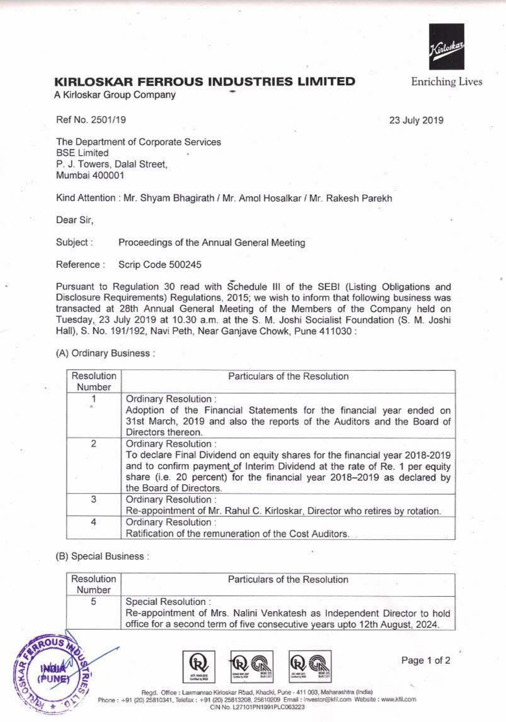

**Enriching Lives** 

## **KIRLOSKAR FERROUS INDUSTRIES LIMITED** Enriching Lives A Kirloskar Group Company

Ref No. 2501/19 23 July 2019

The Department of Corporate Services **BSE** Limited P. J. Towers, Dalal Street, Mumbai 400001

Kind Attention : Mr. Shyam Bhagirath / Mr. Amal Hosalkar / Mr. Rakesh Parekh

Dear Sir,

Subject : Proceedings of the Annual General Meeting

Reference : Scrip Code 500245

Pursuant to Regulation 30 read with Schedule Ill of the SEBI {Listing Obligations and Disclosure Requirements) Regulations, 2015; we wish to inform that following business was transacted at 28th Annual General Meeting of the Members of the Company held on Tuesday,\_ 23 July 2019 at 10.30 a.m. at the S. **M.** Joshi Socialist Foundation (S. **M.** Joshi Hall), S. No. 191/192, Navi Peth, Near Ganjave Chowk, Pune 411030 :

(A) Ordinary Business :

| Resolution<br>Number | Particulars of the Resolution                                                                                                                                                                                                                                                           |
|----------------------|-----------------------------------------------------------------------------------------------------------------------------------------------------------------------------------------------------------------------------------------------------------------------------------------|
| $\frac{1}{2}$        | Ordinary Resolution:<br>Adoption of the Financial Statements for the financial year ended on<br>31st March, 2019 and also the reports of the Auditors and the Board of<br>Directors thereon.                                                                                            |
| $\overline{c}$       | Ordinary Resolution:<br>To declare Final Dividend on equity shares for the financial year 2018-2019<br>and to confirm payment of Interim Dividend at the rate of Re. 1 per equity<br>share (i.e. 20 percent) for the financial year 2018-2019 as declared by<br>the Board of Directors. |
| 3                    | Ordinary Resolution:<br>Re-appointment of Mr. Rahul C. Kirloskar, Director who retires by rotation.                                                                                                                                                                                     |
| 4                    | Ordinary Resolution:<br>Ratification of the remuneration of the Cost Auditors.                                                                                                                                                                                                          |

(8) Special Business :

| Resolution<br>Number | Particulars of the Resolution                                                                                                                                                |
|----------------------|------------------------------------------------------------------------------------------------------------------------------------------------------------------------------|
| 5                    | Special Resolution:<br>Re-appointment of Mrs. Nalini Venkatesh as Independent Director to hold<br>office for a second term of five consecutive years upto 12th August, 2024. |



Page 1 of 2

Regd. Office: Laxmanrao Kirloskar Rbad, Khadki, Pune - 411 003, Maharashtra (India) **Phone: +91 (20) 25810341. Telefax: +91 (20) 25813208, 25810209 Email : lnvestor@kfil.com Website: www.kfil.com** CIN No. L27101PN1991PLC063223